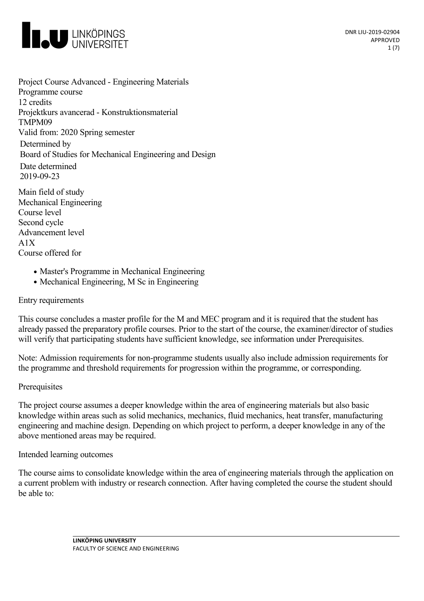

Project Course Advanced - Engineering Materials Programme course 12 credits Projektkurs avancerad - Konstruktionsmaterial TMPM09 Valid from: 2020 Spring semester Determined by Board of Studies for Mechanical Engineering and Design Date determined 2019-09-23

Main field of study Mechanical Engineering Course level Second cycle Advancement level A1X Course offered for

- Master's Programme in Mechanical Engineering
- Mechanical Engineering, M Sc in Engineering

#### Entry requirements

This course concludes a master profile for the M and MEC program and it is required that the student has already passed the preparatory profile courses. Prior to the start of the course, the examiner/director of studies will verify that participating students have sufficient knowledge, see information under Prerequisites.

Note: Admission requirements for non-programme students usually also include admission requirements for the programme and threshold requirements for progression within the programme, or corresponding.

#### **Prerequisites**

The project course assumes a deeper knowledge within the area of engineering materials but also basic knowledge within areas such as solid mechanics, mechanics, fluid mechanics, heat transfer, manufacturing engineering and machine design. Depending on which project to perform, a deeper knowledge in any of the above mentioned areas may be required.

Intended learning outcomes

The course aims to consolidate knowledge within the area of engineering materials through the application on a current problem with industry or research connection. After having completed the course the student should be able to: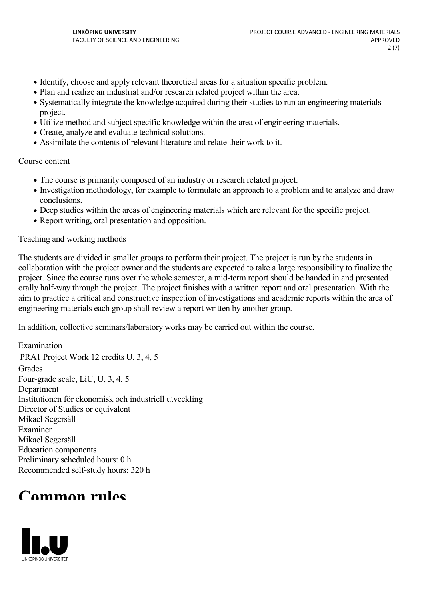- Identify, choose and apply relevant theoretical areas for a situation specific problem.
- Plan and realize an industrial and/or research related project within the area.
- Systematically integrate the knowledge acquired during their studies to run an engineering materials project.
- Utilize method and subject specific knowledge within the area of engineering materials.
- Create, analyze and evaluate technical solutions.
- Assimilate the contents of relevant literature and relate their work to it.

#### Course content

- The course is primarily composed of an industry or research related project.
- Investigation methodology, for example to formulate an approach to a problem and to analyze and draw conclusions.
- Deep studies within the areas of engineering materials which are relevant for the specific project.
- Report writing, oral presentation and opposition.

#### Teaching and working methods

The students are divided in smaller groups to perform their project. The project is run by the students in collaboration with the project owner and the students are expected to take a large responsibility to finalize the project. Since the course runs over the whole semester, a mid-term report should be handed in and presented orally half-way through the project. The project finishes with a written report and oral presentation. With the aim to practice a critical and constructive inspection of investigations and academic reports within the area of engineering materials each group shall review a reportwritten by another group.

In addition, collective seminars/laboratory works may be carried out within the course.

Examination PRA1 Project Work 12 credits U, 3, 4, 5 **Grades** Four-grade scale, LiU, U, 3, 4, 5 Department Institutionen för ekonomisk och industriell utveckling Director of Studies or equivalent Mikael Segersäll Examiner Mikael Segersäll Education components Preliminary scheduled hours: 0 h Recommended self-study hours: 320 h

## **Common rules**

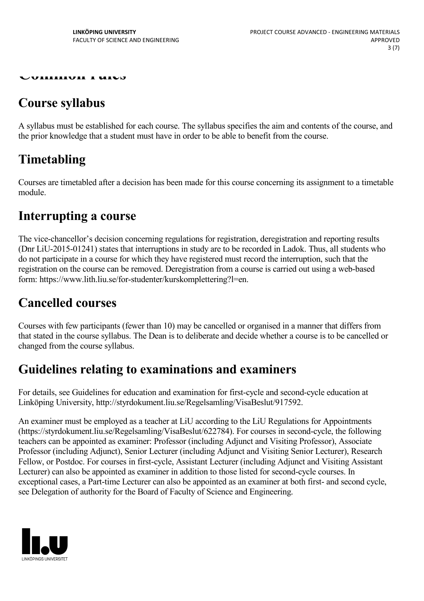**Common rules**

## **Course syllabus**

A syllabus must be established for each course. The syllabus specifies the aim and contents of the course, and the prior knowledge that a student must have in order to be able to benefit from the course.

# **Timetabling**

Courses are timetabled after a decision has been made for this course concerning its assignment to a timetable module.

### **Interrupting a course**

The vice-chancellor's decision concerning regulations for registration, deregistration and reporting results (Dnr LiU-2015-01241) states that interruptions in study are to be recorded in Ladok. Thus, all students who do not participate in a course for which they have registered must record the interruption, such that the registration on the course can be removed. Deregistration from a course is carried out using a web-based form: https://www.lith.liu.se/for-studenter/kurskomplettering?l=en.

## **Cancelled courses**

Courses with few participants (fewer than 10) may be cancelled or organised in a manner that differs from that stated in the course syllabus. The Dean is to deliberate and decide whether a course is to be cancelled or changed from the course syllabus.

### **Guidelines relating to examinations and examiners**

For details, see Guidelines for education and examination for first-cycle and second-cycle education at Linköping University, http://styrdokument.liu.se/Regelsamling/VisaBeslut/917592.

An examiner must be employed as a teacher at LiU according to the LiU Regulations for Appointments (https://styrdokument.liu.se/Regelsamling/VisaBeslut/622784). For courses in second-cycle, the following teachers can be appointed as examiner: Professor (including Adjunct and Visiting Professor), Associate Professor (including Adjunct), Senior Lecturer (including Adjunct and Visiting Senior Lecturer), Research Fellow, or Postdoc. For courses in first-cycle, Assistant Lecturer (including Adjunct and Visiting Assistant Lecturer) can also be appointed as examiner in addition to those listed for second-cycle courses. In exceptional cases, a Part-time Lecturer can also be appointed as an examiner at both first- and second cycle, see Delegation of authority for the Board of Faculty of Science and Engineering.

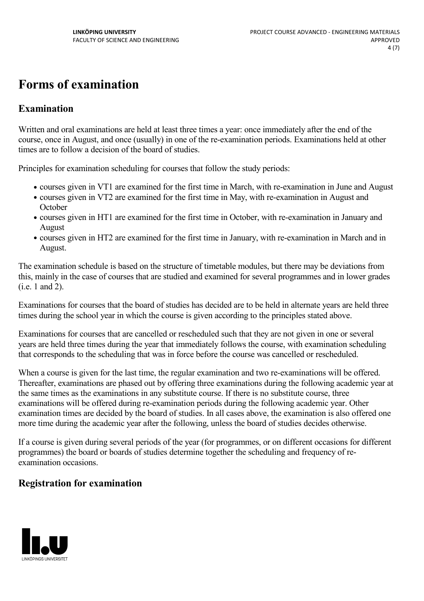# **Forms of examination**

### **Examination**

Written and oral examinations are held at least three times a year: once immediately after the end of the course, once in August, and once (usually) in one of the re-examination periods. Examinations held at other times are to follow a decision of the board of studies.

Principles for examination scheduling for courses that follow the study periods:

- courses given in VT1 are examined for the first time in March, with re-examination in June and August
- courses given in VT2 are examined for the first time in May, with re-examination in August and **October**
- courses given in HT1 are examined for the first time in October, with re-examination in January and August
- courses given in HT2 are examined for the first time in January, with re-examination in March and in August.

The examination schedule is based on the structure of timetable modules, but there may be deviations from this, mainly in the case of courses that are studied and examined for several programmes and in lower grades (i.e. 1 and 2).

Examinations for courses that the board of studies has decided are to be held in alternate years are held three times during the school year in which the course is given according to the principles stated above.

Examinations for courses that are cancelled or rescheduled such that they are not given in one or several years are held three times during the year that immediately follows the course, with examination scheduling that corresponds to the scheduling that was in force before the course was cancelled or rescheduled.

When a course is given for the last time, the regular examination and two re-examinations will be offered. Thereafter, examinations are phased out by offering three examinations during the following academic year at the same times as the examinations in any substitute course. If there is no substitute course, three examinations will be offered during re-examination periods during the following academic year. Other examination times are decided by the board of studies. In all cases above, the examination is also offered one more time during the academic year after the following, unless the board of studies decides otherwise.

If a course is given during several periods of the year (for programmes, or on different occasions for different programmes) the board or boards of studies determine together the scheduling and frequency of re examination occasions.

### **Registration for examination**

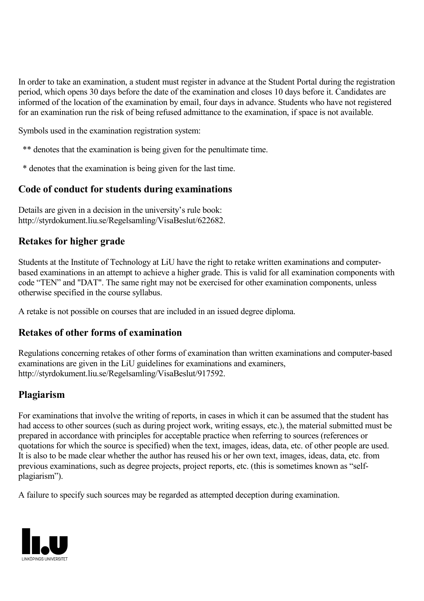In order to take an examination, a student must register in advance at the Student Portal during the registration period, which opens 30 days before the date of the examination and closes 10 days before it. Candidates are informed of the location of the examination by email, four days in advance. Students who have not registered for an examination run the risk of being refused admittance to the examination, if space is not available.

Symbols used in the examination registration system:

- \*\* denotes that the examination is being given for the penultimate time.
- \* denotes that the examination is being given for the last time.

#### **Code of conduct for students during examinations**

Details are given in a decision in the university's rule book: http://styrdokument.liu.se/Regelsamling/VisaBeslut/622682.

#### **Retakes for higher grade**

Students at the Institute of Technology at LiU have the right to retake written examinations and computer based examinations in an attempt to achieve a higher grade. This is valid for all examination components with code "TEN" and "DAT". The same right may not be exercised for other examination components, unless otherwise specified in the course syllabus.

A retake is not possible on courses that are included in an issued degree diploma.

#### **Retakes of other forms of examination**

Regulations concerning retakes of other forms of examination than written examinations and computer-based examinations are given in the LiU guidelines for examinations and examiners, http://styrdokument.liu.se/Regelsamling/VisaBeslut/917592.

#### **Plagiarism**

For examinations that involve the writing of reports, in cases in which it can be assumed that the student has had access to other sources (such as during project work, writing essays, etc.), the material submitted must be prepared in accordance with principles for acceptable practice when referring to sources (references or quotations for which the source is specified) when the text, images, ideas, data, etc. of other people are used. It is also to be made clear whether the author has reused his or her own text, images, ideas, data, etc. from previous examinations, such as degree projects, project reports, etc. (this is sometimes known as "self plagiarism").

A failure to specify such sources may be regarded as attempted deception during examination.

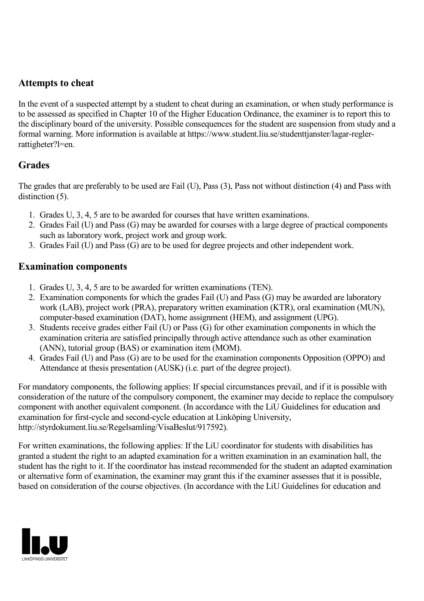#### **Attempts to cheat**

In the event of a suspected attempt by a student to cheat during an examination, or when study performance is to be assessed as specified in Chapter 10 of the Higher Education Ordinance, the examiner is to report this to the disciplinary board of the university. Possible consequences for the student are suspension from study and a formal warning. More information is available at https://www.student.liu.se/studenttjanster/lagar-reglerrattigheter?l=en.

### **Grades**

The grades that are preferably to be used are Fail (U), Pass (3), Pass not without distinction (4) and Pass with distinction  $(5)$ .

- 1. Grades U, 3, 4, 5 are to be awarded for courses that have written examinations.
- 2. Grades Fail (U) and Pass (G) may be awarded for courses with a large degree of practical components such as laboratory work, project work and group work.
- 3. Grades Fail (U) and Pass (G) are to be used for degree projects and other independent work.

### **Examination components**

- 1. Grades U, 3, 4, 5 are to be awarded for written examinations (TEN).
- 2. Examination components for which the grades Fail (U) and Pass (G) may be awarded are laboratory work (LAB), project work (PRA), preparatory written examination (KTR), oral examination (MUN), computer-based examination (DAT), home assignment (HEM), and assignment (UPG).
- 3. Students receive grades either Fail (U) or Pass (G) for other examination components in which the examination criteria are satisfied principally through active attendance such as other examination (ANN), tutorial group (BAS) or examination item (MOM).
- 4. Grades Fail (U) and Pass (G) are to be used for the examination components Opposition (OPPO) and Attendance at thesis presentation (AUSK) (i.e. part of the degree project).

For mandatory components, the following applies: If special circumstances prevail, and if it is possible with consideration of the nature of the compulsory component, the examiner may decide to replace the compulsory component with another equivalent component. (In accordance with the LiU Guidelines for education and examination for first-cycle and second-cycle education at Linköping University, http://styrdokument.liu.se/Regelsamling/VisaBeslut/917592).

For written examinations, the following applies: If the LiU coordinator for students with disabilities has granted a student the right to an adapted examination for a written examination in an examination hall, the student has the right to it. If the coordinator has instead recommended for the student an adapted examination or alternative form of examination, the examiner may grant this if the examiner assesses that it is possible, based on consideration of the course objectives. (In accordance with the LiU Guidelines for education and